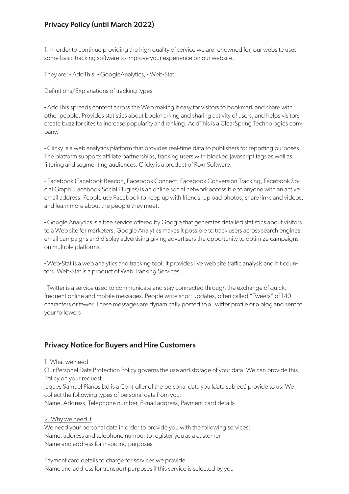# Privacy Policy (until March 2022)

1. In order to continue providing the high quality of service we are renowned for, our website uses some basic tracking software to improve your experience on our website.

They are: - AddThis, - GoogleAnalytics, - Web-Stat

Definitions/Explanations of tracking types

- AddThis spreads content across the Web making it easy for visitors to bookmark and share with other people. Provides statistics about bookmarking and sharing activity of users, and helps visitors create buzz for sites to increase popularity and ranking. AddThis is a ClearSpring Technologies company.

- Clicky is a web analytics platform that provides real-time data to publishers for reporting purposes. The platform supports affiliate partnerships, tracking users with blocked javascript tags as well as filtering and segmenting audiences. Clicky is a product of Roxr Software.

- Facebook (Facebook Beacon, Facebook Connect, Facebook Conversion Tracking, Facebook Social Graph, Facebook Social Plugins) is an online social network accessible to anyone with an active email address. People use Facebook to keep up with friends, upload photos, share links and videos, and learn more about the people they meet.

- Google Analytics is a free service offered by Google that generates detailed statistics about visitors to a Web site for marketers. Google Analytics makes it possible to track users across search engines, email campaigns and display advertising giving advertisers the opportunity to optimize campaigns on multiple platforms.

- Web-Stat is a web analytics and tracking tool. It provides live web site traffic analysis and hit counters. Web-Stat is a product of Web Tracking Services.

- Twitter is a service used to communicate and stay connected through the exchange of quick, frequent online and mobile messages. People write short updates, often called "Tweets" of 140 characters or fewer. These messages are dynamically posted to a Twitter profile or a blog and sent to your followers

## Privacy Notice for Buyers and Hire Customers

#### 1. What we need

Our Personel Data Protection Policy governs the use and storage of your data. We can provide this Policy on your request.

Jaques Samuel Pianos Ltd is a Controller of the personal data you (data subject) provide to us. We collect the following types of personal data from you:

Name, Address, Telephone number, E-mail address, Payment card details

#### 2. Why we need it

We need your personal data in order to provide you with the following services: Name, address and telephone number to register you as a customer Name and address for invoicing purposes

Payment card details to charge for services we provide Name and address for transport purposes if this service is selected by you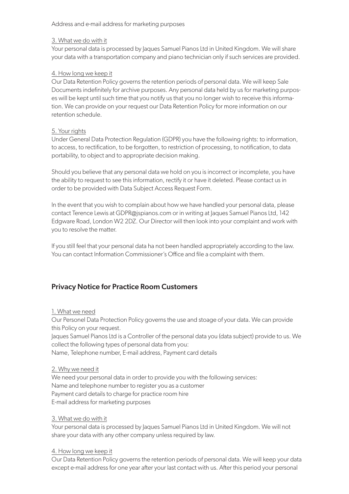### Address and e-mail address for marketing purposes

### 3. What we do with it

Your personal data is processed by Jaques Samuel Pianos Ltd in United Kingdom. We will share your data with a transportation company and piano technician only if such services are provided.

## 4. How long we keep it

Our Data Retention Policy governs the retention periods of personal data. We will keep Sale Documents indefinitely for archive purposes. Any personal data held by us for marketing purposes will be kept until such time that you notify us that you no longer wish to receive this information. We can provide on your request our Data Retention Policy for more information on our retention schedule.

#### 5. Your rights

Under General Data Protection Regulation (GDPR) you have the following rights: to information, to access, to rectification, to be forgotten, to restriction of processing, to notification, to data portability, to object and to appropriate decision making.

Should you believe that any personal data we hold on you is incorrect or incomplete, you have the ability to request to see this information, rectify it or have it deleted. Please contact us in order to be provided with Data Subject Access Request Form.

In the event that you wish to complain about how we have handled your personal data, please contact Terence Lewis at GDPR@jspianos.com or in writing at Jaques Samuel Pianos Ltd, 142 Edgware Road, London W2 2DZ. Our Director will then look into your complaint and work with you to resolve the matter.

If you still feel that your personal data ha not been handled appropriately according to the law. You can contact Information Commissioner's Office and file a complaint with them.

## Privacy Notice for Practice Room Customers

## 1. What we need

Our Personel Data Protection Policy governs the use and stoage of your data. We can provide this Policy on your request.

Jaques Samuel Pianos Ltd is a Controller of the personal data you (data subject) provide to us. We collect the following types of personal data from you:

Name, Telephone number, E-mail address, Payment card details

2. Why we need it

We need your personal data in order to provide you with the following services: Name and telephone number to register you as a customer Payment card details to charge for practice room hire E-mail address for marketing purposes

## 3. What we do with it

Your personal data is processed by Jaques Samuel Pianos Ltd in United Kingdom. We will not share your data with any other company unless required by law.

## 4. How long we keep it

Our Data Retention Policy governs the retention periods of personal data. We will keep your data except e-mail address for one year after your last contact with us. After this period your personal